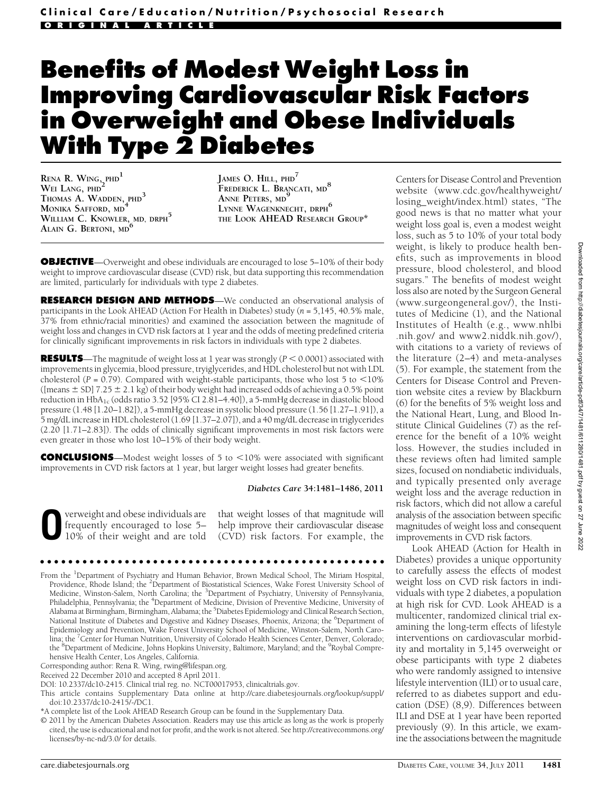# Benefits of Modest Weight Loss in Improving Cardiovascular Risk Factors in Overweight and Obese Individuals With Type 2 Diabetes

RENA R. WING<sub>2</sub>PHD<sup>1</sup> WEI LANG, PHD<sup>2</sup> THOMAS A. WADDEN, PHD<sup>3</sup> MONIKA SAFFORD, MD<sup>4</sup> WILLIAM C. KNOWLER, MD, DRPH<sup>5</sup> Alain G. Bertoni, md<sup>6</sup>

JAMES O. HILL, PHD<sup>7</sup> FREDERICK L. BRANCATI, MD<sup>8</sup> ANNE PETERS, MD<sup>9</sup> LYNNE WAGENKNECHT, DRPH<sup>6</sup> THE LOOK AHEAD RESEARCH GROUP\*

**OBJECTIVE**—Overweight and obese individuals are encouraged to lose 5–10% of their body weight to improve cardiovascular disease (CVD) risk, but data supporting this recommendation are limited, particularly for individuals with type 2 diabetes.

RESEARCH DESIGN AND METHODS—We conducted an observational analysis of participants in the Look AHEAD (Action For Health in Diabetes) study ( $n = 5,145,40.5\%$  male, 37% from ethnic/racial minorities) and examined the association between the magnitude of weight loss and changes in CVD risk factors at 1 year and the odds of meeting predefined criteria for clinically significant improvements in risk factors in individuals with type 2 diabetes.

**RESULTS**—The magnitude of weight loss at 1 year was strongly ( $P < 0.0001$ ) associated with improvements in glycemia, blood pressure, tryiglycerides, and HDL cholesterol but not with LDL cholesterol ( $P = 0.79$ ). Compared with weight-stable participants, those who lost 5 to <10% ([means  $\pm$  SD] 7.25  $\pm$  2.1 kg) of their body weight had increased odds of achieving a 0.5% point reduction in HbA<sub>1c</sub> (odds ratio 3.52 [95% CI 2.81–4.40]), a 5-mmHg decrease in diastolic blood pressure (1.48 [1.20–1.82]), a 5-mmHg decrease in systolic blood pressure (1.56 [1.27–1.91]), a 5 mg/dL increase in HDL cholesterol (1.69 [1.37–2.07]), and a 40 mg/dL decrease in triglycerides (2.20 [1.71–2.83]). The odds of clinically significant improvements in most risk factors were even greater in those who lost 10–15% of their body weight.

**CONCLUSIONS**—Modest weight losses of 5 to  $\leq$ 10% were associated with significant improvements in CVD risk factors at 1 year, but larger weight losses had greater benefits.

#### Diabetes Care 34:1481–1486, 2011

verweight and obese individuals are frequently encouraged to lose 5– 10% of their weight and are told

that weight losses of that magnitude will help improve their cardiovascular disease (CVD) risk factors. For example, the

#### ccccccccccccccccccccccccccccccccccccccccccccccccc

From the <sup>1</sup>Department of Psychiatry and Human Behavior, Brown Medical School, The Miriam Hospital, Providence, Rhode Island; the <sup>2</sup>Department of Biostatistical Sciences, Wake Forest University School of Medicine, Winston-Salem, North Carolina; the <sup>3</sup>Department of Psychiatry, University of Pennsylvania, Philadelphia, Pennsylvania; the <sup>4</sup>Department of Medicine, Division of Preventive Medicine, University of Alabama at Birmingham, Birmingham, Alabama; the <sup>5</sup>Diabetes Epidemiology and Clinical Research Section, National Institute of Diabetes and Digestive and Kidney Diseases, Phoenix, Arizona; the <sup>6</sup>Department of Epidemiology and Prevention, Wake Forest University School of Medicine, Winston-Salem, North Carolina; the <sup>7</sup>Center for Human Nutrition, University of Colorado Health Sciences Center, Denver, Colorado; the <sup>8</sup>Department of Medicine, Johns Hopkins University, Baltimore, Maryland; and the <sup>9</sup>Roybal Comprehensive Health Center, Los Angeles, California.

Corresponding author: Rena R. Wing, rwing@lifespan.org.

Received 22 December 2010 and accepted 8 April 2011.

DOI: 10.2337/dc10-2415. Clinical trial reg. no. NCT00017953, clinicaltrials.gov.

This article contains Supplementary Data online at http://care.diabetesjournals.org/lookup/suppl/ doi:10.2337/dc10-2415/-/DC1.

\*A complete list of the Look AHEAD Research Group can be found in the Supplementary Data.

© 2011 by the American Diabetes Association. Readers may use this article as long as the work is properly cited, the use is educational and not for profit, and the work is not altered. See http://creativecommons.org/ licenses/by-nc-nd/3.0/ for details.

Centers for Disease Control and Prevention website (www.cdc.gov/healthyweight/ losing\_weight/index.html) states, "The good news is that no matter what your weight loss goal is, even a modest weight loss, such as 5 to 10% of your total body weight, is likely to produce health benefits, such as improvements in blood pressure, blood cholesterol, and blood sugars." The benefits of modest weight loss also are noted by the Surgeon General (www.surgeongeneral.gov/), the Institutes of Medicine (1), and the National Institutes of Health (e.g., www.nhlbi .nih.gov/ and www2.niddk.nih.gov/), with citations to a variety of reviews of the literature (2–4) and meta-analyses (5). For example, the statement from the Centers for Disease Control and Prevention website cites a review by Blackburn (6) for the benefits of 5% weight loss and the National Heart, Lung, and Blood Institute Clinical Guidelines (7) as the reference for the benefit of a 10% weight loss. However, the studies included in these reviews often had limited sample sizes, focused on nondiabetic individuals, and typically presented only average weight loss and the average reduction in risk factors, which did not allow a careful analysis of the association between specific magnitudes of weight loss and consequent improvements in CVD risk factors.

Look AHEAD (Action for Health in Diabetes) provides a unique opportunity to carefully assess the effects of modest weight loss on CVD risk factors in individuals with type 2 diabetes, a population at high risk for CVD. Look AHEAD is a multicenter, randomized clinical trial examining the long-term effects of lifestyle interventions on cardiovascular morbidity and mortality in 5,145 overweight or obese participants with type 2 diabetes who were randomly assigned to intensive lifestyle intervention (ILI) or to usual care, referred to as diabetes support and education (DSE) (8,9). Differences between ILI and DSE at 1 year have been reported previously (9). In this article, we examine the associations between the magnitude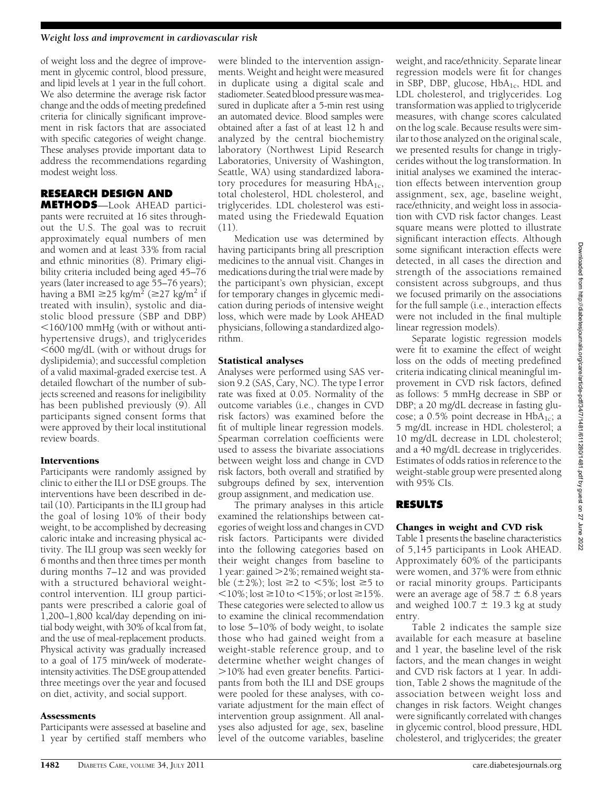of weight loss and the degree of improvement in glycemic control, blood pressure, and lipid levels at 1 year in the full cohort. We also determine the average risk factor change and the odds of meeting predefined criteria for clinically significant improvement in risk factors that are associated with specific categories of weight change. These analyses provide important data to address the recommendations regarding modest weight loss.

# RESEARCH DESIGN AND

METHODS—Look AHEAD participants were recruited at 16 sites throughout the U.S. The goal was to recruit approximately equal numbers of men and women and at least 33% from racial and ethnic minorities (8). Primary eligibility criteria included being aged 45–76 years (later increased to age 55–76 years); having a BMI  $\geq$ 25 kg/m<sup>2</sup> ( $\geq$ 27 kg/m<sup>2</sup> if treated with insulin), systolic and diastolic blood pressure (SBP and DBP)  $<$ 160/100 mmHg (with or without antihypertensive drugs), and triglycerides  $<$  600 mg/dL (with or without drugs for dyslipidemia); and successful completion of a valid maximal-graded exercise test. A detailed flowchart of the number of subjects screened and reasons for ineligibility has been published previously (9). All participants signed consent forms that were approved by their local institutional review boards.

### Interventions

Participants were randomly assigned by clinic to either the ILI or DSE groups. The interventions have been described in detail (10). Participants in the ILI group had the goal of losing 10% of their body weight, to be accomplished by decreasing caloric intake and increasing physical activity. The ILI group was seen weekly for 6 months and then three times per month during months 7–12 and was provided with a structured behavioral weightcontrol intervention. ILI group participants were prescribed a calorie goal of 1,200–1,800 kcal/day depending on initial body weight, with 30% of kcal from fat, and the use of meal-replacement products. Physical activity was gradually increased to a goal of 175 min/week of moderateintensity activities. The DSE group attended three meetings over the year and focused on diet, activity, and social support.

### **Assessments**

Participants were assessed at baseline and 1 year by certified staff members who

were blinded to the intervention assignments. Weight and height were measured in duplicate using a digital scale and stadiometer. Seated blood pressure was measured in duplicate after a 5-min rest using an automated device. Blood samples were obtained after a fast of at least 12 h and analyzed by the central biochemistry laboratory (Northwest Lipid Research Laboratories, University of Washington, Seattle, WA) using standardized laboratory procedures for measuring  $HbA_{1c}$ , total cholesterol, HDL cholesterol, and triglycerides. LDL cholesterol was estimated using the Friedewald Equation  $(11)$ .

Medication use was determined by having participants bring all prescription medicines to the annual visit. Changes in medications during the trial were made by the participant's own physician, except for temporary changes in glycemic medication during periods of intensive weight loss, which were made by Look AHEAD physicians, following a standardized algorithm.

### Statistical analyses

Analyses were performed using SAS version 9.2 (SAS, Cary, NC). The type I error rate was fixed at 0.05. Normality of the outcome variables (i.e., changes in CVD risk factors) was examined before the fit of multiple linear regression models. Spearman correlation coefficients were used to assess the bivariate associations between weight loss and change in CVD risk factors, both overall and stratified by subgroups defined by sex, intervention group assignment, and medication use.

The primary analyses in this article examined the relationships between categories of weight loss and changes in CVD risk factors. Participants were divided into the following categories based on their weight changes from baseline to 1 year: gained  $>$  2%; remained weight stable  $(\pm 2\%)$ ; lost  $\geq 2$  to  $\lt 5\%$ ; lost  $\geq 5$  to  $<$ 10%; lost  $\geq$ 10 to  $<$ 15%; or lost  $\geq$ 15%. These categories were selected to allow us to examine the clinical recommendation to lose 5–10% of body weight, to isolate those who had gained weight from a weight-stable reference group, and to determine whether weight changes of .10% had even greater benefits. Participants from both the ILI and DSE groups were pooled for these analyses, with covariate adjustment for the main effect of intervention group assignment. All analyses also adjusted for age, sex, baseline level of the outcome variables, baseline

weight, and race/ethnicity. Separate linear regression models were fit for changes in SBP, DBP, glucose,  $HbA_{1c}$ , HDL and LDL cholesterol, and triglycerides. Log transformation was applied to triglyceride measures, with change scores calculated on the log scale. Because results were similar to those analyzed on the original scale, we presented results for change in triglycerides without the log transformation. In initial analyses we examined the interaction effects between intervention group assignment, sex, age, baseline weight, race/ethnicity, and weight loss in association with CVD risk factor changes. Least square means were plotted to illustrate significant interaction effects. Although some significant interaction effects were detected, in all cases the direction and strength of the associations remained consistent across subgroups, and thus we focused primarily on the associations for the full sample (i.e., interaction effects were not included in the final multiple linear regression models).

Separate logistic regression models were fit to examine the effect of weight loss on the odds of meeting predefined criteria indicating clinical meaningful improvement in CVD risk factors, defined as follows: 5 mmHg decrease in SBP or DBP; a 20 mg/dL decrease in fasting glucose; a  $0.5\%$  point decrease in HbA<sub>1c</sub>; a 5 mg/dL increase in HDL cholesterol; a 10 mg/dL decrease in LDL cholesterol; and a 40 mg/dL decrease in triglycerides. Estimates of odds ratios in reference to the weight-stable group were presented along with 95% CIs.

## RESULTS

### Changes in weight and CVD risk

Table 1 presents the baseline characteristics of 5,145 participants in Look AHEAD. Approximately 60% of the participants were women, and 37% were from ethnic or racial minority groups. Participants were an average age of  $58.7 \pm 6.8$  years and weighed 100.7  $\pm$  19.3 kg at study entry.

Table 2 indicates the sample size available for each measure at baseline and 1 year, the baseline level of the risk factors, and the mean changes in weight and CVD risk factors at 1 year. In addition, Table 2 shows the magnitude of the association between weight loss and changes in risk factors. Weight changes were significantly correlated with changes in glycemic control, blood pressure, HDL cholesterol, and triglycerides; the greater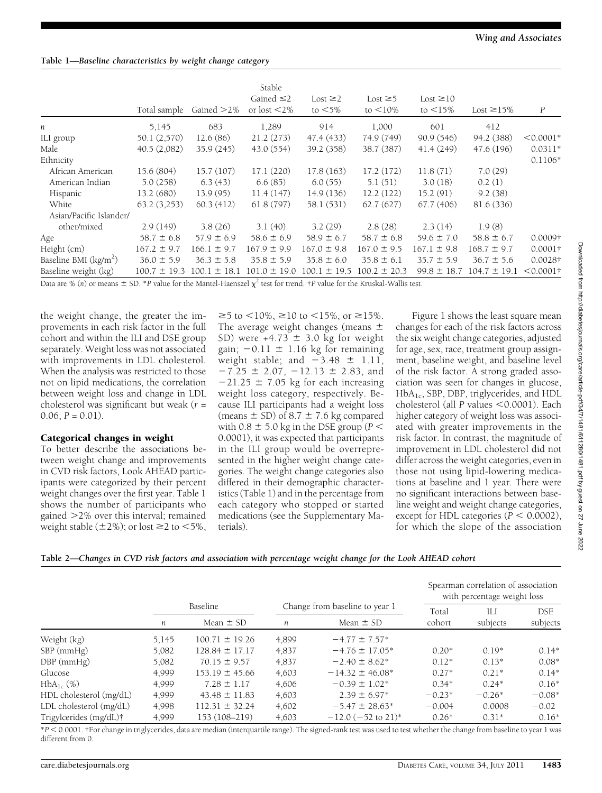# Table 1—Baseline characteristics by weight change category

|                         | Total sample     | Gained $>2\%$    | Stable<br>Gained $\leq 2$<br>or lost $\leq$ 2% | Lost $\geq$ 2<br>to $<$ 5% | Lost $\geq 5$<br>to $\leq 10\%$ | Lost $\geq 10$<br>to $\leq$ 15% | Lost $\geq$ 15%  | $\boldsymbol{P}$ |
|-------------------------|------------------|------------------|------------------------------------------------|----------------------------|---------------------------------|---------------------------------|------------------|------------------|
| n                       | 5,145            | 683              | 1,289                                          | 914                        | 1,000                           | 601                             | 412              |                  |
| ILI group               | 50.1 (2,570)     | 12.6(86)         | 21.2(273)                                      | 47.4 (433)                 | 74.9 (749)                      | 90.9(546)                       | 94.2 (388)       | $< 0.0001*$      |
| Male                    | 40.5(2,082)      | 35.9(245)        | 43.0 (554)                                     | 39.2 (358)                 | 38.7 (387)                      | 41.4(249)                       | 47.6 (196)       | $0.0311*$        |
| Ethnicity               |                  |                  |                                                |                            |                                 |                                 |                  | $0.1106*$        |
| African American        | 15.6 (804)       | 15.7(107)        | 17.1(220)                                      | 17.8(163)                  | 17.2(172)                       | 11.8(71)                        | 7.0(29)          |                  |
| American Indian         | 5.0(258)         | 6.3(43)          | 6.6(85)                                        | 6.0(55)                    | 5.1(51)                         | 3.0(18)                         | 0.2(1)           |                  |
| Hispanic                | 13.2 (680)       | 13.9(95)         | 11.4(147)                                      | 14.9(136)                  | 12.2(122)                       | 15.2(91)                        | 9.2(38)          |                  |
| White                   | 63.2(3,253)      | 60.3(412)        | 61.8(797)                                      | 58.1 (531)                 | 62.7(627)                       | 67.7(406)                       | 81.6 (336)       |                  |
| Asian/Pacific Islander/ |                  |                  |                                                |                            |                                 |                                 |                  |                  |
| other/mixed             | 2.9(149)         | 3.8(26)          | 3.1(40)                                        | 3.2(29)                    | 2.8(28)                         | 2.3(14)                         | 1.9(8)           |                  |
| Age                     | $58.7 \pm 6.8$   | $57.9 \pm 6.9$   | $58.6 \pm 6.9$                                 | $58.9 \pm 6.7$             | $58.7 \pm 6.8$                  | $59.6 \pm 7.0$                  | $58.8 \pm 6.7$   | 0.0009†          |
| Height (cm)             | $167.2 \pm 9.7$  | $166.1 \pm 9.7$  | $167.9 \pm 9.9$                                | $167.0 \pm 9.8$            | $167.0 \pm 9.5$                 | $167.1 \pm 9.8$                 | $168.7 \pm 9.7$  | $0.0001\dagger$  |
| Baseline BMI $(kg/m2)$  | $36.0 \pm 5.9$   | $36.3 \pm 5.8$   | $35.8 \pm 5.9$                                 | $35.8 \pm 6.0$             | $35.8 \pm 6.1$                  | $35.7 \pm 5.9$                  | $36.7 \pm 5.6$   | 0.0028†          |
| Baseline weight (kg)    | $100.7 \pm 19.3$ | $100.1 \pm 18.1$ | $101.0 \pm 19.0$                               | $100.1 \pm 19.5$           | $100.2 \pm 20.3$                | $99.8 \pm 18.7$                 | $104.7 \pm 19.1$ | $< 0.0001$ †     |

Data are % (n) or means  $\pm$  SD. \*P value for the Mantel-Haenszel  $\chi^2$  test for trend. †P value for the Kruskal-Wallis test.

the weight change, the greater the improvements in each risk factor in the full cohort and within the ILI and DSE group separately. Weight loss was not associated with improvements in LDL cholesterol. When the analysis was restricted to those not on lipid medications, the correlation between weight loss and change in LDL cholesterol was significant but weak  $(r =$  $0.06, P = 0.01$ .

### Categorical changes in weight

To better describe the associations between weight change and improvements in CVD risk factors, Look AHEAD participants were categorized by their percent weight changes over the first year. Table 1 shows the number of participants who gained  $>2\%$  over this interval; remained weight stable  $(\pm 2\%)$ ; or lost  $\geq 2$  to  $\lt 5\%$ ,

 $\geq$ 5 to  $\lt$ 10%,  $\geq$ 10 to  $\lt$ 15%, or  $\geq$ 15%. The average weight changes (means  $\pm$ SD) were  $+4.73 \pm 3.0$  kg for weight gain;  $-0.11 \pm 1.16$  kg for remaining weight stable; and  $-3.48 \pm 1.11$ ,  $-7.25 \pm 2.07$ ,  $-12.13 \pm 2.83$ , and  $-21.25 \pm 7.05$  kg for each increasing weight loss category, respectively. Because ILI participants had a weight loss (means  $\pm$  SD) of 8.7  $\pm$  7.6 kg compared with  $0.8 \pm 5.0$  kg in the DSE group ( $P <$ 0.0001), it was expected that participants in the ILI group would be overrepresented in the higher weight change categories. The weight change categories also differed in their demographic characteristics (Table 1) and in the percentage from each category who stopped or started medications (see the Supplementary Materials).

Figure 1 shows the least square mean changes for each of the risk factors across the six weight change categories, adjusted for age, sex, race, treatment group assignment, baseline weight, and baseline level of the risk factor. A strong graded association was seen for changes in glucose, HbA1c, SBP, DBP, triglycerides, and HDL cholesterol (all  $P$  values  $<$  0.0001). Each higher category of weight loss was associated with greater improvements in the risk factor. In contrast, the magnitude of improvement in LDL cholesterol did not differ across the weight categories, even in those not using lipid-lowering medications at baseline and 1 year. There were no significant interactions between baseline weight and weight change categories, except for HDL categories ( $P < 0.0002$ ), for which the slope of the association

| Table 2—Changes in CVD risk factors and association with percentage weight change for the Look AHEAD cohort |  |  |  |
|-------------------------------------------------------------------------------------------------------------|--|--|--|
|-------------------------------------------------------------------------------------------------------------|--|--|--|

|                         |          |                    |                                |                                  |          | Spearman correlation of association<br>with percentage weight loss |            |  |
|-------------------------|----------|--------------------|--------------------------------|----------------------------------|----------|--------------------------------------------------------------------|------------|--|
|                         | Baseline |                    | Change from baseline to year 1 |                                  | Total    | ШJ                                                                 | <b>DSE</b> |  |
|                         | n        | Mean $\pm$ SD      | n                              | Mean $\pm$ SD                    | cohort   | subjects                                                           | subjects   |  |
| Weight (kg)             | 5,145    | $100.71 \pm 19.26$ | 4,899                          | $-4.77 \pm 7.57*$                |          |                                                                    |            |  |
| $SBP$ (mmHg)            | 5,082    | $128.84 \pm 17.17$ | 4,837                          | $-4.76 \pm 17.05^*$              | $0.20*$  | $0.19*$                                                            | $0.14*$    |  |
| $DBP$ (mmHg)            | 5,082    | $70.15 \pm 9.57$   | 4,837                          | $-2.40 \pm 8.62^*$               | $0.12*$  | $0.13*$                                                            | $0.08*$    |  |
| Glucose                 | 4,999    | $153.19 \pm 45.66$ | 4,603                          | $-14.32 \pm 46.08^*$             | $0.27*$  | $0.21*$                                                            | $0.14*$    |  |
| $HbA_{1c}$ (%)          | 4,999    | $7.28 \pm 1.17$    | 4,606                          | $-0.39 \pm 1.02$ <sup>*</sup>    | $0.34*$  | $0.24*$                                                            | $0.16*$    |  |
| HDL cholesterol (mg/dL) | 4,999    | $43.48 \pm 11.83$  | 4,603                          | $2.39 \pm 6.97*$                 | $-0.23*$ | $-0.26*$                                                           | $-0.08*$   |  |
| LDL cholesterol (mg/dL) | 4,998    | $112.31 \pm 32.24$ | 4,602                          | $-5.47 \pm 28.63^*$              | $-0.004$ | 0.0008                                                             | $-0.02$    |  |
| Trigylcerides (mg/dL)†  | 4,999    | 153 (108-219)      | 4,603                          | $-12.0$ (-52 to 21) <sup>*</sup> | $0.26*$  | $0.31*$                                                            | $0.16*$    |  |

 $*P < 0.0001$ , †For change in triglycerides, data are median (interquartile range). The signed-rank test was used to test whether the change from baseline to year 1 was different from 0.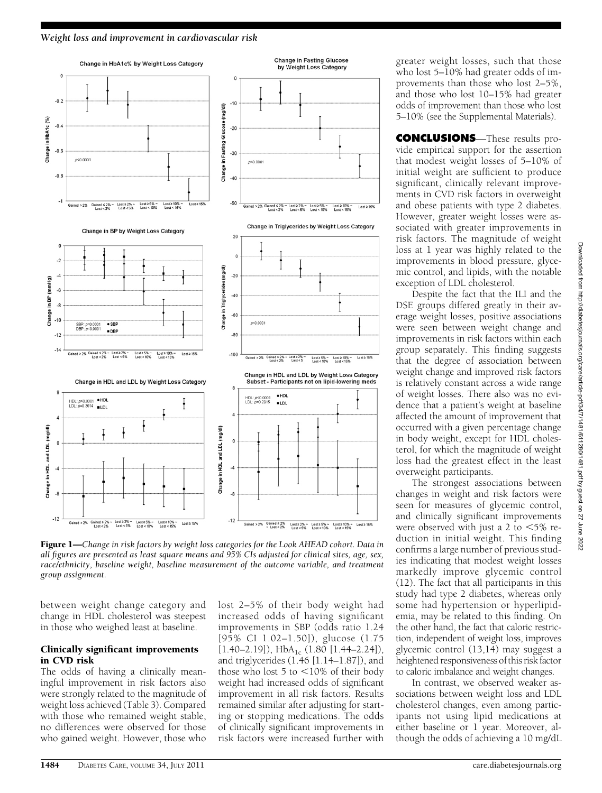#### Weight loss and improvement in cardiovascular risk



Figure 1—Change in risk factors by weight loss categories for the Look AHEAD cohort. Data in all figures are presented as least square means and 95% CIs adjusted for clinical sites, age, sex, race/ethnicity, baseline weight, baseline measurement of the outcome variable, and treatment group assignment.

between weight change category and change in HDL cholesterol was steepest in those who weighed least at baseline.

### Clinically significant improvements in CVD risk

The odds of having a clinically meaningful improvement in risk factors also were strongly related to the magnitude of weight loss achieved (Table 3). Compared with those who remained weight stable, no differences were observed for those who gained weight. However, those who lost 2–5% of their body weight had increased odds of having significant improvements in SBP (odds ratio 1.24 [95% CI 1.02–1.50]), glucose (1.75  $[1.40-2.19]$ ), HbA<sub>1c</sub>  $(1.80$   $[1.44-2.24]$ ), and triglycerides (1.46 [1.14–1.87]), and those who lost  $5$  to  $<10\%$  of their body weight had increased odds of significant improvement in all risk factors. Results remained similar after adjusting for starting or stopping medications. The odds of clinically significant improvements in risk factors were increased further with

greater weight losses, such that those who lost 5–10% had greater odds of improvements than those who lost 2–5%, and those who lost 10–15% had greater odds of improvement than those who lost 5–10% (see the Supplemental Materials).

CONCLUSIONS—These results provide empirical support for the assertion that modest weight losses of 5–10% of initial weight are sufficient to produce significant, clinically relevant improvements in CVD risk factors in overweight and obese patients with type 2 diabetes. However, greater weight losses were associated with greater improvements in risk factors. The magnitude of weight loss at 1 year was highly related to the improvements in blood pressure, glycemic control, and lipids, with the notable exception of LDL cholesterol.

Despite the fact that the ILI and the DSE groups differed greatly in their average weight losses, positive associations were seen between weight change and improvements in risk factors within each group separately. This finding suggests that the degree of association between weight change and improved risk factors is relatively constant across a wide range of weight losses. There also was no evidence that a patient's weight at baseline affected the amount of improvement that occurred with a given percentage change in body weight, except for HDL cholesterol, for which the magnitude of weight loss had the greatest effect in the least overweight participants.

The strongest associations between changes in weight and risk factors were seen for measures of glycemic control, and clinically significant improvements were observed with just a 2 to  $<5\%$  reduction in initial weight. This finding confirms a large number of previous studies indicating that modest weight losses markedly improve glycemic control (12). The fact that all participants in this study had type 2 diabetes, whereas only some had hypertension or hyperlipidemia, may be related to this finding. On the other hand, the fact that caloric restriction, independent of weight loss, improves glycemic control (13,14) may suggest a heightened responsiveness of this risk factor to caloric imbalance and weight changes.

In contrast, we observed weaker associations between weight loss and LDL cholesterol changes, even among participants not using lipid medications at either baseline or 1 year. Moreover, although the odds of achieving a 10 mg/dL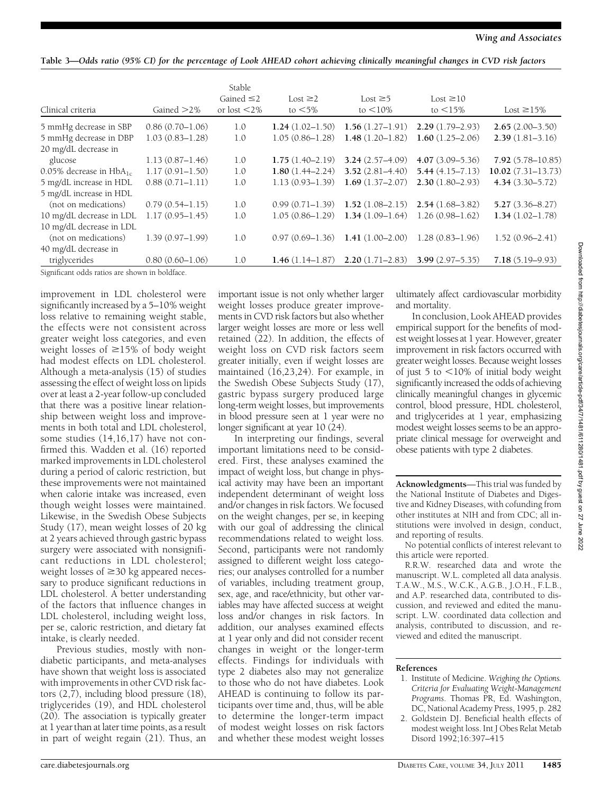Table 3—Odds ratio (95% CI) for the percentage of Look AHEAD cohort achieving clinically meaningful changes in CVD risk factors

| Clinical criteria                              | Gained $>2\%$       | Stable<br>Gained $\leq$ 2<br>or lost $<$ 2% | Lost $\geq$ 2<br>to $<$ 5% | Lost $\geq 5$<br>to $\leq 10\%$ | Lost $\geq 10$<br>to $\leq 15\%$ | Lost $\geq$ 15%       |
|------------------------------------------------|---------------------|---------------------------------------------|----------------------------|---------------------------------|----------------------------------|-----------------------|
| 5 mmHg decrease in SBP                         | $0.86(0.70 - 1.06)$ | 1.0                                         | $1.24(1.02 - 1.50)$        | $1.56(1.27-1.91)$               | $2.29(1.79 - 2.93)$              | $2.65(2.00-3.50)$     |
| 5 mmHg decrease in DBP                         | $1.03(0.83 - 1.28)$ | 1.0                                         | $1.05(0.86 - 1.28)$        | $1.48(1.20 - 1.82)$             | $1.60(1.25 - 2.06)$              | $2.39(1.81-3.16)$     |
| 20 mg/dL decrease in                           |                     |                                             |                            |                                 |                                  |                       |
| glucose                                        | $1.13(0.87 - 1.46)$ | 1.0                                         | $1.75(1.40-2.19)$          | $3.24(2.57 - 4.09)$             | $4.07(3.09 - 5.36)$              | $7.92(5.78 - 10.85)$  |
| $0.05\%$ decrease in HbA <sub>1c</sub>         | $1.17(0.91 - 1.50)$ | 1.0                                         | $1.80(1.44 - 2.24)$        | $3.52(2.81 - 4.40)$             | $5.44(4.15 - 7.13)$              | $10.02(7.31 - 13.73)$ |
| 5 mg/dL increase in HDL                        | $0.88(0.71 - 1.11)$ | 1.0                                         | $1.13(0.93 - 1.39)$        | $1.69(1.37-2.07)$               | $2.30(1.80 - 2.93)$              | $4.34(3.30 - 5.72)$   |
| 5 mg/dL increase in HDL                        |                     |                                             |                            |                                 |                                  |                       |
| (not on medications)                           | $0.79(0.54 - 1.15)$ | 1.0                                         | $0.99(0.71 - 1.39)$        | $1.52(1.08-2.15)$               | $2.54(1.68-3.82)$                | $5.27(3.36 - 8.27)$   |
| 10 mg/dL decrease in LDL                       | $1.17(0.95 - 1.45)$ | 1.0                                         | $1.05(0.86 - 1.29)$        | $1.34(1.09-1.64)$               | $1.26(0.98 - 1.62)$              | $1.34(1.02 - 1.78)$   |
| 10 mg/dL decrease in LDL                       |                     |                                             |                            |                                 |                                  |                       |
| (not on medications)                           | $1.39(0.97 - 1.99)$ | 1.0                                         | $0.97(0.69 - 1.36)$        | $1.41(1.00-2.00)$               | $1.28(0.83 - 1.96)$              | $1.52(0.96 - 2.41)$   |
| 40 mg/dL decrease in                           |                     |                                             |                            |                                 |                                  |                       |
| triglycerides                                  | $0.80(0.60 - 1.06)$ | 1.0                                         | $1.46(1.14 - 1.87)$        | $2.20(1.71 - 2.83)$             | $3.99(2.97 - 5.35)$              | $7.18(5.19 - 9.93)$   |
| Significant odds ratios are shown in boldface. |                     |                                             |                            |                                 |                                  |                       |

improvement in LDL cholesterol were significantly increased by a 5–10% weight loss relative to remaining weight stable, the effects were not consistent across greater weight loss categories, and even weight losses of  $\geq$ 15% of body weight had modest effects on LDL cholesterol. Although a meta-analysis (15) of studies assessing the effect of weight loss on lipids over at least a 2-year follow-up concluded that there was a positive linear relationship between weight loss and improvements in both total and LDL cholesterol, some studies (14,16,17) have not confirmed this. Wadden et al. (16) reported marked improvements in LDL cholesterol during a period of caloric restriction, but these improvements were not maintained when calorie intake was increased, even though weight losses were maintained. Likewise, in the Swedish Obese Subjects Study (17), mean weight losses of 20 kg at 2 years achieved through gastric bypass surgery were associated with nonsignificant reductions in LDL cholesterol; weight losses of  $\geq$ 30 kg appeared necessary to produce significant reductions in LDL cholesterol. A better understanding of the factors that influence changes in LDL cholesterol, including weight loss, per se, caloric restriction, and dietary fat intake, is clearly needed.

Previous studies, mostly with nondiabetic participants, and meta-analyses have shown that weight loss is associated with improvements in other CVD risk factors (2,7), including blood pressure (18), triglycerides (19), and HDL cholesterol (20). The association is typically greater at 1 year than at later time points, as a result in part of weight regain (21). Thus, an important issue is not only whether larger weight losses produce greater improvements in CVD risk factors but also whether larger weight losses are more or less well retained (22). In addition, the effects of weight loss on CVD risk factors seem greater initially, even if weight losses are maintained (16,23,24). For example, in the Swedish Obese Subjects Study (17), gastric bypass surgery produced large long-term weight losses, but improvements in blood pressure seen at 1 year were no longer significant at year 10 (24).

In interpreting our findings, several important limitations need to be considered. First, these analyses examined the impact of weight loss, but change in physical activity may have been an important independent determinant of weight loss and/or changes in risk factors. We focused on the weight changes, per se, in keeping with our goal of addressing the clinical recommendations related to weight loss. Second, participants were not randomly assigned to different weight loss categories; our analyses controlled for a number of variables, including treatment group, sex, age, and race/ethnicity, but other variables may have affected success at weight loss and/or changes in risk factors. In addition, our analyses examined effects at 1 year only and did not consider recent changes in weight or the longer-term effects. Findings for individuals with type 2 diabetes also may not generalize to those who do not have diabetes. Look AHEAD is continuing to follow its participants over time and, thus, will be able to determine the longer-term impact of modest weight losses on risk factors and whether these modest weight losses

ultimately affect cardiovascular morbidity and mortality.

In conclusion, Look AHEAD provides empirical support for the benefits of modest weight losses at 1 year. However, greater improvement in risk factors occurred with greater weight losses. Because weight losses of just 5 to  $\langle 10\%$  of initial body weight significantly increased the odds of achieving clinically meaningful changes in glycemic control, blood pressure, HDL cholesterol, and triglycerides at 1 year, emphasizing modest weight losses seems to be an appropriate clinical message for overweight and obese patients with type 2 diabetes.

Acknowledgments—This trial was funded by the National Institute of Diabetes and Digestive and Kidney Diseases, with cofunding from other institutes at NIH and from CDC; all institutions were involved in design, conduct, and reporting of results.

No potential conflicts of interest relevant to this article were reported.

R.R.W. researched data and wrote the manuscript. W.L. completed all data analysis. T.A.W., M.S., W.C.K., A.G.B., J.O.H., F.L.B., and A.P. researched data, contributed to discussion, and reviewed and edited the manuscript. L.W. coordinated data collection and analysis, contributed to discussion, and reviewed and edited the manuscript.

### References

- 1. Institute of Medicine. Weighing the Options. Programs. Thomas PR, Ed. Washington,<br>DC National Academy Press 1995 n 282 DC, National Academy Press, 1995, p. 282
- 2. Goldstein DJ. Beneficial health effects of modest weight loss. Int J Obes Relat Metab Disord 1992;16:397–415